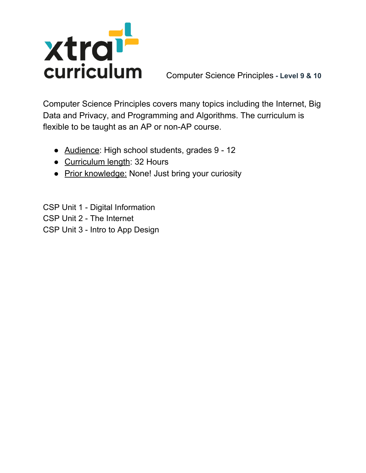

Computer Science Principles covers many topics including the Internet, Big Data and Privacy, and Programming and Algorithms. The curriculum is flexible to be taught as an AP or non-AP course.

- Audience: High school students, grades 9 12
- Curriculum length: 32 Hours
- Prior knowledge: None! Just bring your curiosity

CSP Unit 1 - Digital Information CSP Unit 2 - The Internet CSP Unit 3 - Intro to App Design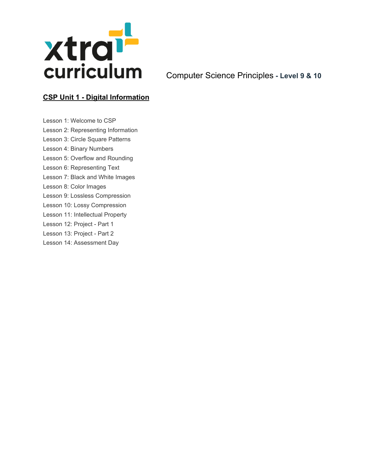

## **CSP Unit 1 - Digital Information**

Lesson 1: Welcome to CSP Lesson 2: Representing Information Lesson 3: Circle Square Patterns Lesson 4: Binary Numbers Lesson 5: Overflow and Rounding Lesson 6: Representing Text Lesson 7: Black and White Images Lesson 8: Color Images Lesson 9: Lossless Compression Lesson 10: Lossy Compression Lesson 11: Intellectual Property Lesson 12: Project - Part 1 Lesson 13: Project - Part 2 Lesson 14: Assessment Day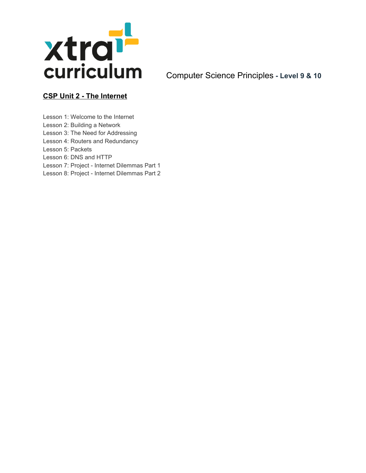

## **CSP Unit 2 - The Internet**

Lesson 1: Welcome to the Internet

- Lesson 2: Building a Network
- Lesson 3: The Need for Addressing Lesson 4: Routers and Redundancy
- Lesson 5: Packets
- Lesson 6: DNS and HTTP
- Lesson 7: Project Internet Dilemmas Part 1
- Lesson 8: Project Internet Dilemmas Part 2